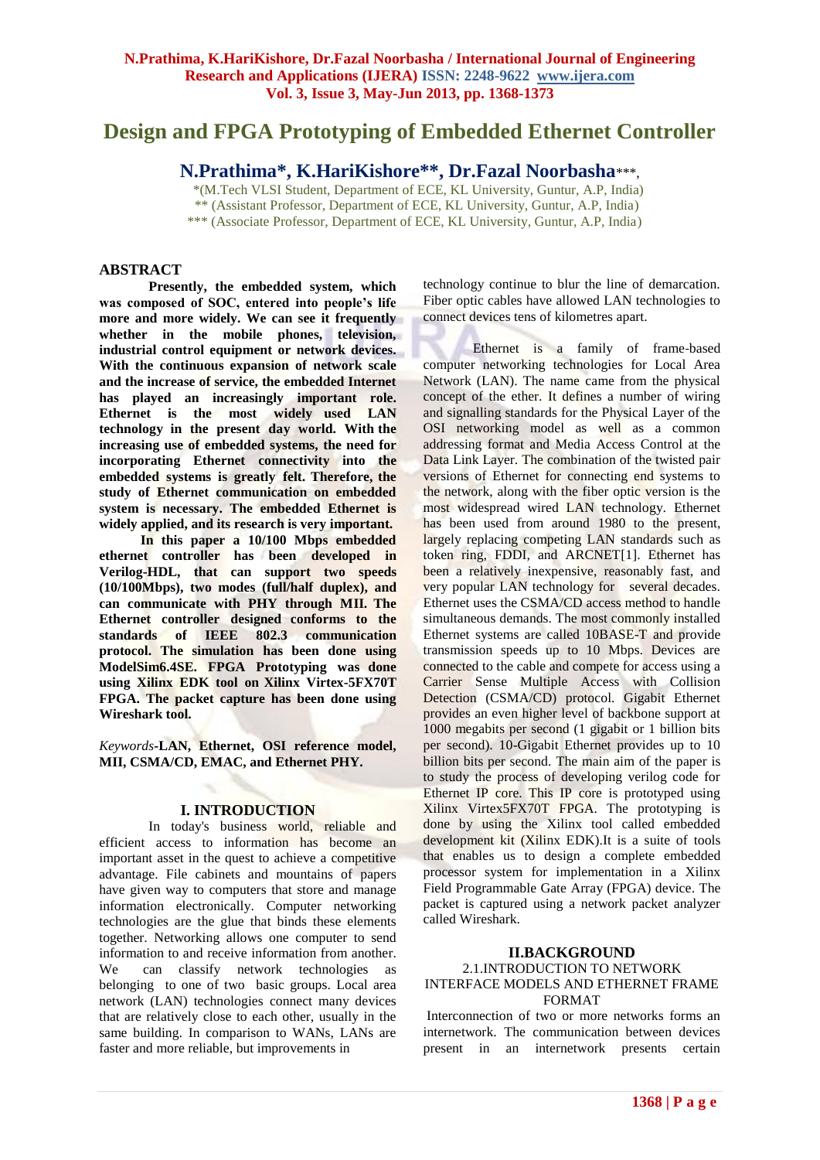# **Design and FPGA Prototyping of Embedded Ethernet Controller**

**N.Prathima\*, K.HariKishore\*\*, Dr.Fazal Noorbasha**\*\*\*,

 \*(M.Tech VLSI Student, Department of ECE, KL University, Guntur, A.P, India) \*\* (Assistant Professor, Department of ECE, KL University, Guntur, A.P, India) \*\*\* (Associate Professor, Department of ECE, KL University, Guntur, A.P, India)

## **ABSTRACT**

**Presently, the embedded system, which was composed of SOC, entered into people's life more and more widely. We can see it frequently whether in the mobile phones, television, industrial control equipment or network devices. With the continuous expansion of network scale and the increase of service, the embedded Internet has played an increasingly important role. Ethernet is the most widely used LAN technology in the present day world. With the increasing use of embedded systems, the need for incorporating Ethernet connectivity into the embedded systems is greatly felt. Therefore, the study of Ethernet communication on embedded system is necessary. The embedded Ethernet is widely applied, and its research is very important.**

 **In this paper a 10/100 Mbps embedded ethernet controller has been developed in Verilog-HDL, that can support two speeds (10/100Mbps), two modes (full/half duplex), and can communicate with PHY through MII. The Ethernet controller designed conforms to the standards of IEEE 802.3 communication protocol. The simulation has been done using ModelSim6.4SE. FPGA Prototyping was done using Xilinx EDK tool on Xilinx Virtex-5FX70T FPGA. The packet capture has been done using Wireshark tool.**

*Keywords***-LAN, Ethernet, OSI reference model, MII, CSMA/CD, EMAC, and Ethernet PHY.**

#### **I. INTRODUCTION**

In today's business world, reliable and efficient access to information has become an important asset in the quest to achieve a competitive advantage. File cabinets and mountains of papers have given way to computers that store and manage information electronically. Computer networking technologies are the glue that binds these elements together. Networking allows one computer to send information to and receive information from another. We can classify network technologies as belonging to one of two basic groups. Local area network (LAN) technologies connect many devices that are relatively close to each other, usually in the same building. In comparison to WANs, LANs are faster and more reliable, but improvements in

technology continue to blur the line of demarcation. Fiber optic cables have allowed LAN technologies to connect devices tens of kilometres apart.

Ethernet is a family of frame-based computer networking technologies for Local Area Network (LAN). The name came from the physical concept of the ether. It defines a number of wiring and signalling standards for the Physical Layer of the OSI networking model as well as a common addressing format and Media Access Control at the Data Link Layer. The combination of the twisted pair versions of Ethernet for connecting end systems to the network, along with the fiber optic version is the most widespread wired LAN technology. Ethernet has been used from around 1980 to the present, largely replacing competing LAN standards such as token ring, FDDI, and ARCNET[1]. Ethernet has been a relatively inexpensive, reasonably fast, and very popular LAN technology for several decades. Ethernet uses the CSMA/CD access method to handle simultaneous demands. The most commonly installed Ethernet systems are called 10BASE-T and provide transmission speeds up to 10 Mbps. Devices are connected to the cable and compete for access using a Carrier Sense Multiple Access with Collision Detection (CSMA/CD) protocol. Gigabit Ethernet provides an even higher level of backbone support at 1000 megabits per second (1 gigabit or 1 billion bits per second). 10-Gigabit Ethernet provides up to 10 billion bits per second. The main aim of the paper is to study the process of developing verilog code for Ethernet IP core. This IP core is prototyped using Xilinx Virtex5FX70T FPGA. The prototyping is done by using the Xilinx tool called embedded development kit (Xilinx EDK).It is a suite of tools that enables us to design a complete embedded processor system for implementation in a Xilinx Field Programmable Gate Array (FPGA) device. The packet is captured using a network packet analyzer called Wireshark.

#### **II.BACKGROUND**

#### 2.1.INTRODUCTION TO NETWORK INTERFACE MODELS AND ETHERNET FRAME FORMAT

Interconnection of two or more networks forms an internetwork. The communication between devices present in an internetwork presents certain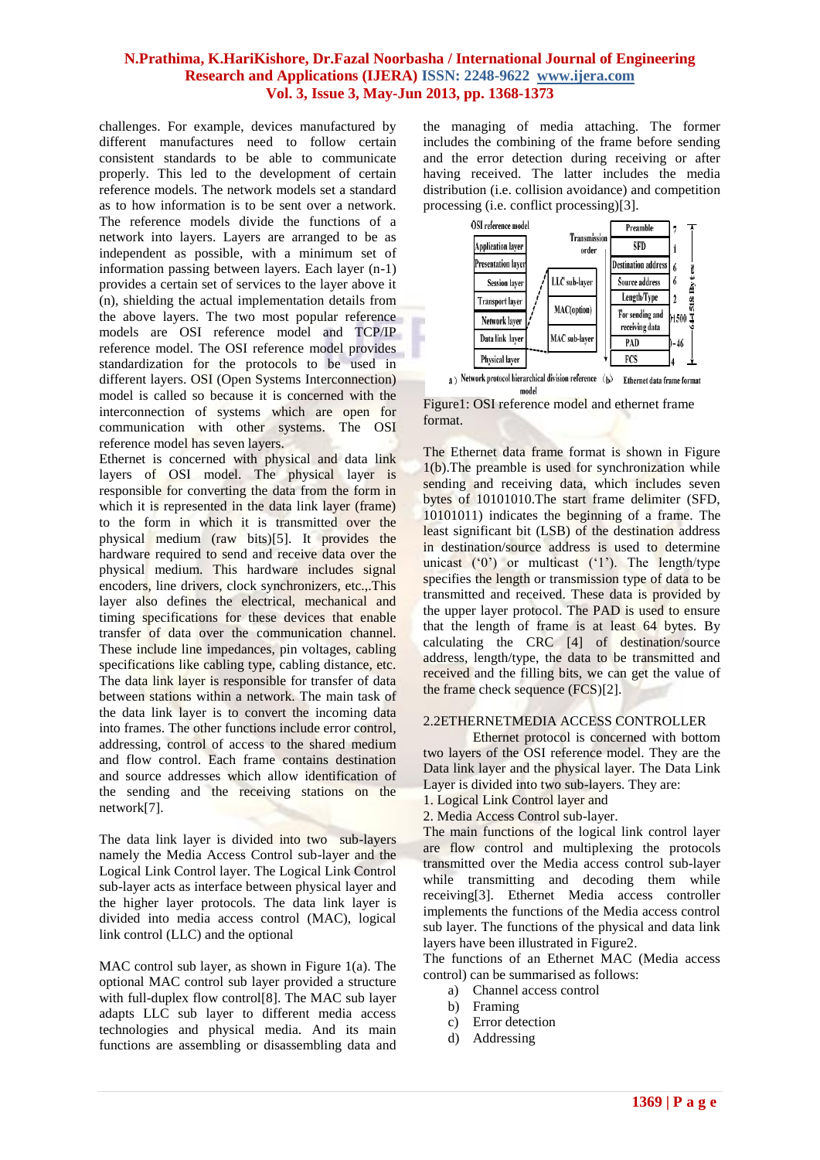challenges. For example, devices manufactured by different manufactures need to follow certain consistent standards to be able to communicate properly. This led to the development of certain reference models. The network models set a standard as to how information is to be sent over a network. The reference models divide the functions of a network into layers. Layers are arranged to be as independent as possible, with a minimum set of information passing between layers. Each layer (n-1) provides a certain set of services to the layer above it (n), shielding the actual implementation details from the above layers. The two most popular reference models are OSI reference model and TCP/IP reference model. The OSI reference model provides standardization for the protocols to be used in different layers. OSI (Open Systems Interconnection) model is called so because it is concerned with the interconnection of systems which are open for communication with other systems. The OSI reference model has seven layers.

Ethernet is concerned with physical and data link layers of OSI model. The physical layer is responsible for converting the data from the form in which it is represented in the data link layer (frame) to the form in which it is transmitted over the physical medium (raw bits)[5]. It provides the hardware required to send and receive data over the physical medium. This hardware includes signal encoders, line drivers, clock synchronizers, etc.,.This layer also defines the electrical, mechanical and timing specifications for these devices that enable transfer of data over the communication channel. These include line impedances, pin voltages, cabling specifications like cabling type, cabling distance, etc. The data link layer is responsible for transfer of data between stations within a network. The main task of the data link layer is to convert the incoming data into frames. The other functions include error control, addressing, control of access to the shared medium and flow control. Each frame contains destination and source addresses which allow identification of the sending and the receiving stations on the network[7].

The data link layer is divided into two sub-layers namely the Media Access Control sub-layer and the Logical Link Control layer. The Logical Link Control sub-layer acts as interface between physical layer and the higher layer protocols. The data link layer is divided into media access control (MAC), logical link control (LLC) and the optional

MAC control sub layer, as shown in Figure 1(a). The optional MAC control sub layer provided a structure with full-duplex flow control<sup>[8]</sup>. The MAC sub layer adapts LLC sub layer to different media access technologies and physical media. And its main functions are assembling or disassembling data and

the managing of media attaching. The former includes the combining of the frame before sending and the error detection during receiving or after having received. The latter includes the media distribution (i.e. collision avoidance) and competition processing (i.e. conflict processing)[3].



model Figure1: OSI reference model and ethernet frame format.

The Ethernet data frame format is shown in Figure 1(b).The preamble is used for synchronization while sending and receiving data, which includes seven bytes of 10101010.The start frame delimiter (SFD, 10101011) indicates the beginning of a frame. The least significant bit (LSB) of the destination address in destination/source address is used to determine unicast  $(0)$  or multicast  $(1)$ . The length/type specifies the length or transmission type of data to be transmitted and received. These data is provided by the upper layer protocol. The PAD is used to ensure that the length of frame is at least 64 bytes. By calculating the CRC [4] of destination/source address, length/type, the data to be transmitted and received and the filling bits, we can get the value of the frame check sequence (FCS)[2].

# 2.2ETHERNETMEDIA ACCESS CONTROLLER

Ethernet protocol is concerned with bottom two layers of the OSI reference model. They are the Data link layer and the physical layer. The Data Link Layer is divided into two sub-layers. They are:

- 1. Logical Link Control layer and
- 2. Media Access Control sub-layer.

The main functions of the logical link control layer are flow control and multiplexing the protocols transmitted over the Media access control sub-layer while transmitting and decoding them while receiving[3]. Ethernet Media access controller implements the functions of the Media access control sub layer. The functions of the physical and data link layers have been illustrated in Figure2.

The functions of an Ethernet MAC (Media access control) can be summarised as follows:

- a) Channel access control
- b) Framing
- c) Error detection
- d) Addressing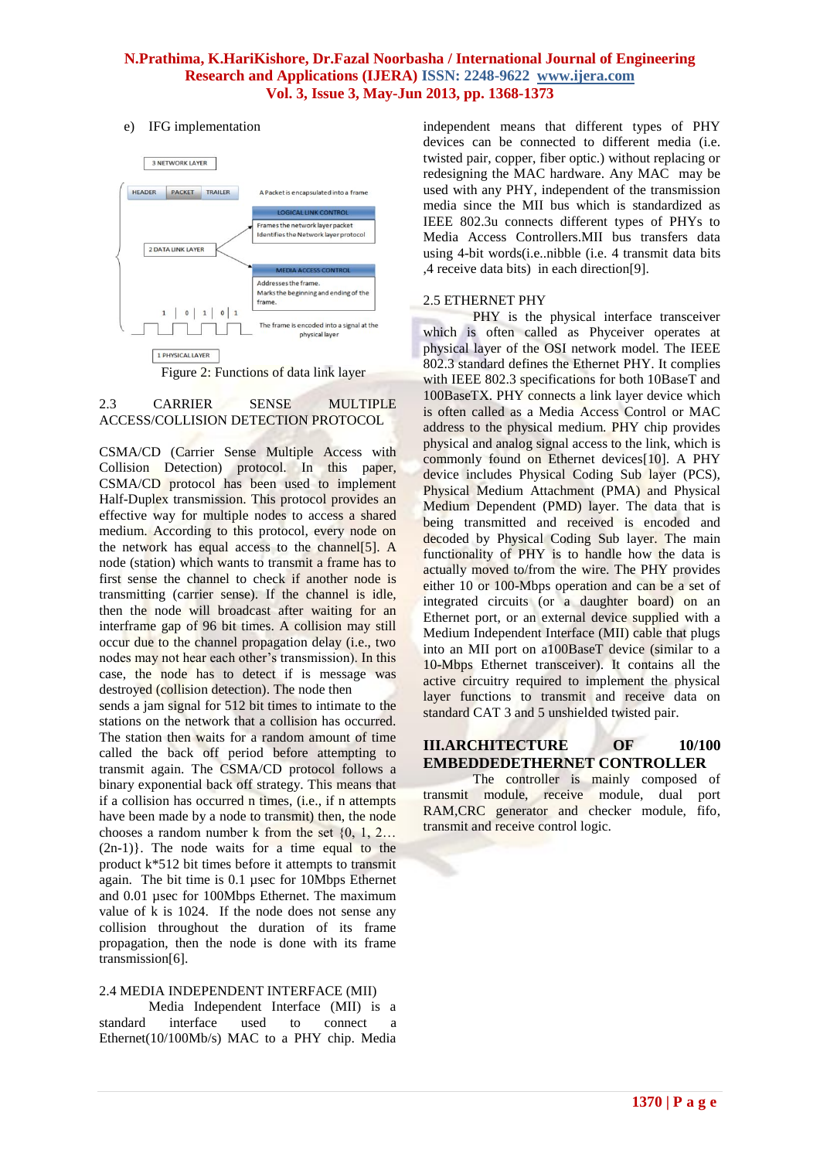## e) IFG implementation



## 2.3 CARRIER SENSE MULTIPLE ACCESS/COLLISION DETECTION PROTOCOL

CSMA/CD (Carrier Sense Multiple Access with Collision Detection) protocol. In this paper, CSMA/CD protocol has been used to implement Half-Duplex transmission. This protocol provides an effective way for multiple nodes to access a shared medium. According to this protocol, every node on the network has equal access to the channel[5]. A node (station) which wants to transmit a frame has to first sense the channel to check if another node is transmitting (carrier sense). If the channel is idle, then the node will broadcast after waiting for an interframe gap of 96 bit times. A collision may still occur due to the channel propagation delay (i.e., two nodes may not hear each other's transmission). In this case, the node has to detect if is message was destroyed (collision detection). The node then

sends a jam signal for 512 bit times to intimate to the stations on the network that a collision has occurred. The station then waits for a random amount of time called the back off period before attempting to transmit again. The CSMA/CD protocol follows a binary exponential back off strategy. This means that if a collision has occurred n times, (i.e., if n attempts have been made by a node to transmit) then, the node chooses a random number k from the set  $\{0, 1, 2...$ (2n-1)}. The node waits for a time equal to the product k\*512 bit times before it attempts to transmit again. The bit time is 0.1 µsec for 10Mbps Ethernet and 0.01 µsec for 100Mbps Ethernet. The maximum value of k is 1024. If the node does not sense any collision throughout the duration of its frame propagation, then the node is done with its frame transmission[6].

#### 2.4 MEDIA INDEPENDENT INTERFACE (MII)

Media Independent Interface (MII) is a<br>interface used to connect a standard interface used to connect a Ethernet(10/100Mb/s) MAC to a PHY chip. Media

independent means that different types of PHY devices can be connected to different media (i.e. twisted pair, copper, fiber optic.) without replacing or redesigning the MAC hardware. Any MAC may be used with any PHY, independent of the transmission media since the MII bus which is standardized as IEEE 802.3u connects different types of PHYs to Media Access Controllers.MII bus transfers data using 4-bit words(i.e..nibble (i.e. 4 transmit data bits ,4 receive data bits) in each direction[9].

## 2.5 ETHERNET PHY

PHY is the physical interface transceiver which is often called as Phyceiver operates at physical layer of the OSI network model. The IEEE 802.3 standard defines the Ethernet PHY. It complies with IEEE 802.3 specifications for both 10BaseT and 100BaseTX. PHY connects a link layer device which is often called as a Media Access Control or MAC address to the physical medium. PHY chip provides physical and analog signal access to the link, which is commonly found on Ethernet devices[10]. A PHY device includes Physical Coding Sub layer (PCS), Physical Medium Attachment (PMA) and Physical Medium Dependent (PMD) layer. The data that is being transmitted and received is encoded and decoded by Physical Coding Sub layer. The main functionality of PHY is to handle how the data is actually moved to/from the wire. The PHY provides either 10 or 100-Mbps operation and can be a set of integrated circuits (or a daughter board) on an Ethernet port, or an external device supplied with a Medium Independent Interface (MII) cable that plugs into an MII port on a100BaseT device (similar to a 10-Mbps Ethernet transceiver). It contains all the active circuitry required to implement the physical layer functions to transmit and receive data on standard CAT 3 and 5 unshielded twisted pair.

## **III.ARCHITECTURE OF 10/100 EMBEDDEDETHERNET CONTROLLER**

The controller is mainly composed of transmit module, receive module, dual port RAM,CRC generator and checker module, fifo, transmit and receive control logic.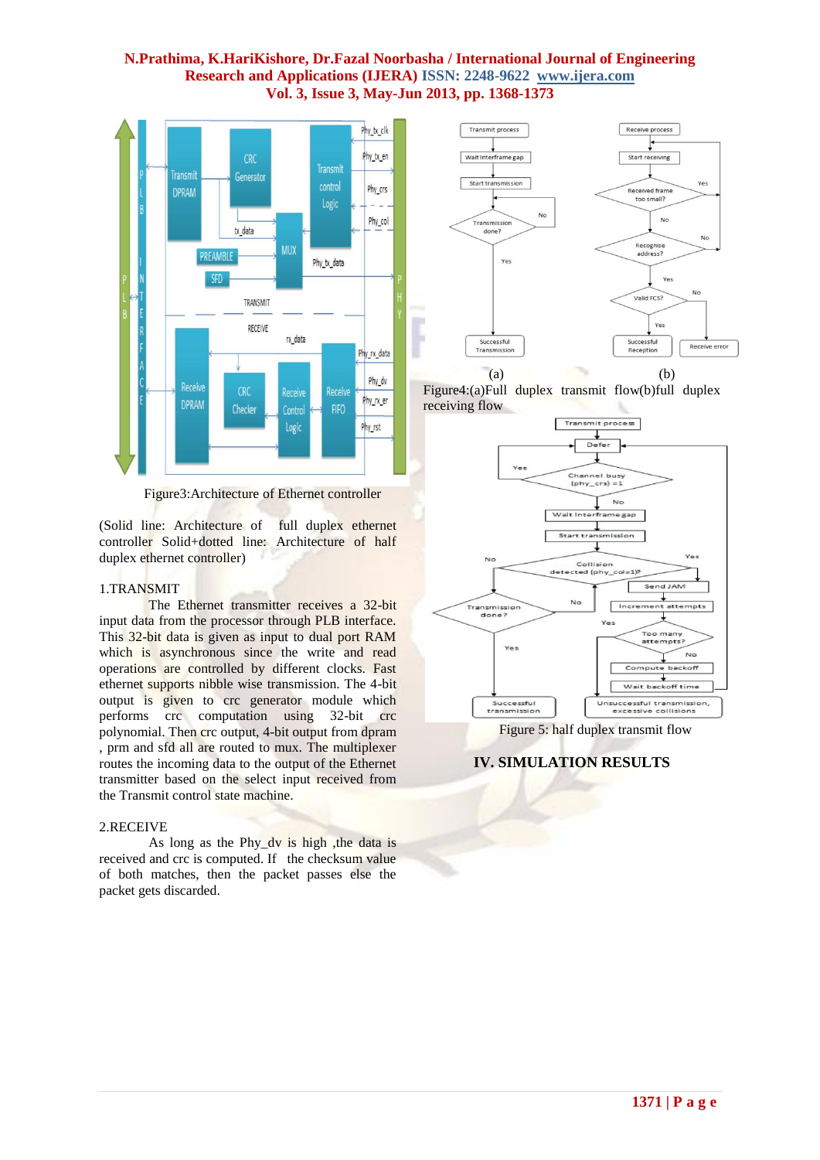

Figure3:Architecture of Ethernet controller

(Solid line: Architecture of full duplex ethernet controller Solid+dotted line: Architecture of half duplex ethernet controller)

#### 1.TRANSMIT

The Ethernet transmitter receives a 32-bit input data from the processor through PLB interface. This 32-bit data is given as input to dual port RAM which is asynchronous since the write and read operations are controlled by different clocks. Fast ethernet supports nibble wise transmission. The 4-bit output is given to crc generator module which performs crc computation using 32-bit crc polynomial. Then crc output, 4-bit output from dpram , prm and sfd all are routed to mux. The multiplexer routes the incoming data to the output of the Ethernet transmitter based on the select input received from the Transmit control state machine.

#### 2.RECEIVE

As long as the Phy dy is high , the data is received and crc is computed. If the checksum value of both matches, then the packet passes else the packet gets discarded.







Figure 5: half duplex transmit flow

## **IV. SIMULATION RESULTS**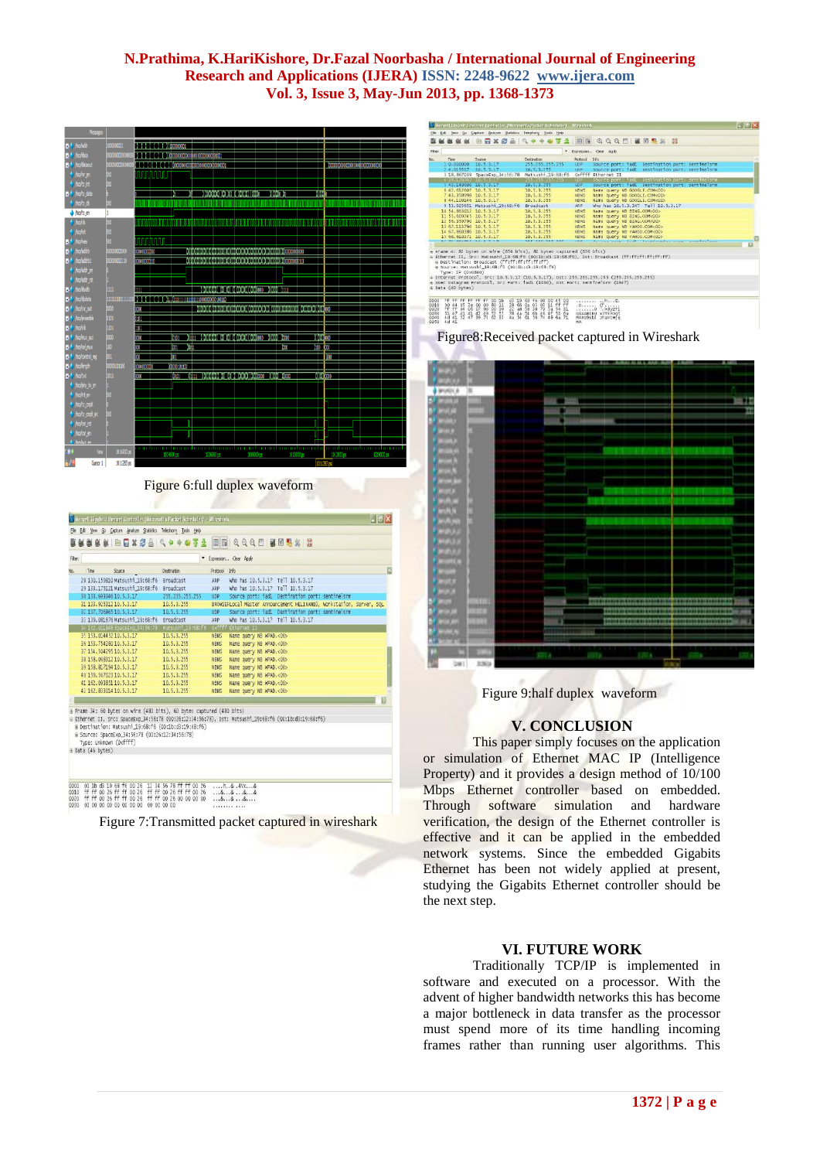

Figure 6:full duplex waveform

| Filter: |      |                       |                                                                           |                                                                                                                               |             | * Expression Clear Apply                                                                              |
|---------|------|-----------------------|---------------------------------------------------------------------------|-------------------------------------------------------------------------------------------------------------------------------|-------------|-------------------------------------------------------------------------------------------------------|
| No.     | Time |                       | Source                                                                    | Declination                                                                                                                   | Protocol    | Info                                                                                                  |
|         |      |                       | 28 130.159810 Matsushi 19:68:f6                                           | <b>Broadcast</b>                                                                                                              | ARP         | Who has 10.5.3.1? Tell 10.5.3.17                                                                      |
|         |      |                       | 29 133.175121 Matsushi 19:68:f6                                           | Broadcast                                                                                                                     | ARP         | who has 10.5.3.1? Tell 10.5.3.17                                                                      |
|         |      |                       | 30 133, 693346 10, 5, 3, 17                                               | 255.255.255.255                                                                                                               | UDP         | Source port: iad1 Destination port: sentinelsrm                                                       |
|         |      |                       | 31 133, 925312 10, 5, 3, 17                                               | 10.5.3.255                                                                                                                    |             | BROWSEFLOCal Master Announcement HELINANB3, Workstation, Server, SOL                                  |
|         |      |                       | 32 137, 706865 10, 5, 3, 17                                               | 10.5.3.255                                                                                                                    | UDP         | Source port: iad1 Destination port: sentinelsrm                                                       |
|         |      |                       | 33 139.081676 Matsushi 19:68:f6                                           | Broadcast                                                                                                                     | ARP         | who has 10.5.3.1? Tell 10.5.3.17                                                                      |
|         |      |                       | 34 152.011848 SpaceExp_34:56:78                                           | Matsushi 19:68:F6                                                                                                             | 0xfffff     | Ethernet II                                                                                           |
|         |      |                       | 35 153, 014452 10, 5, 3, 17                                               | 10.5.3.255                                                                                                                    | <b>NBNS</b> | Name query NB WPAD.<00>                                                                               |
|         |      |                       | 36 153, 754280 10, 5, 3, 17                                               | 10.5.3.255                                                                                                                    | <b>NBNS</b> | Name query NB WPAD.<00>                                                                               |
|         |      |                       | 37 154, 504295 10, 5, 3, 17                                               | 10.5.3.255                                                                                                                    | <b>NBNS</b> | Name query NB WPAD.<00>                                                                               |
|         |      |                       | 38 158, 068312 10, 5, 3, 17                                               | 10.5.3.255                                                                                                                    | <b>NBNS</b> | Name query NB WPAD.<00>                                                                               |
|         |      |                       | 39 158, 817194 10, 5, 3, 17                                               | 10.5.3.255                                                                                                                    | <b>NBNS</b> | Name query NB WPAD.<00>                                                                               |
|         |      |                       | 40 159, 567023 10, 5, 3, 17                                               | 10.5.3.255                                                                                                                    | <b>NBNS</b> | Name query NB WPAD.<00>                                                                               |
|         |      |                       | 41 162, 093851 10, 5, 3, 17                                               | 10.5.3.255                                                                                                                    | <b>NBNS</b> | Name query NB WPAD.<00>                                                                               |
|         |      |                       | 42 162, 833014 10, 5, 3, 17                                               | 10.5.3.255                                                                                                                    | <b>NBNS</b> | Name query NB WPAD.<00>                                                                               |
|         |      |                       |                                                                           |                                                                                                                               |             |                                                                                                       |
|         |      | $\pm$ Data (46 bytes) | # Source: SpaceExo_34:56:78 (00:26:12:34:56:78)<br>Type: Unknown (Oxffff) | # Frame 34: 60 bytes on wire (480 bits), 60 bytes captured (480 bits)<br># Destination: Matsushi 19:68:f6 (00:1b:d3:19:68:f6) |             | B Ethernet II. Src: SpaceExp.34:56:78 (00:26:12:34:56:78), Dst: Matsush1.19:68:f6 (00:1b:d3:19:68:f6) |

Figure 7:Transmitted packet captured in wireshark

|         |                                            |                                                                                                                      | A Marvell Gigabit Ethernet Controller (Microsoft's Packet Scheduler) - Wireshark |             |                                                                                                | $ \mathbb{F}$ $\mathbb{X}$ |
|---------|--------------------------------------------|----------------------------------------------------------------------------------------------------------------------|----------------------------------------------------------------------------------|-------------|------------------------------------------------------------------------------------------------|----------------------------|
|         |                                            | Hie Edt Yew Go Capture Analyze Statistics Telephony Looks Help                                                       |                                                                                  |             |                                                                                                |                            |
|         |                                            |                                                                                                                      |                                                                                  |             | <b>LAKE EDXCA + + 0 3 4 EE QQQD KBRX B</b>                                                     |                            |
| Filter: |                                            |                                                                                                                      |                                                                                  |             | Expression Clear Apply                                                                         |                            |
| No.     | Time                                       | Sturce                                                                                                               | Dechation                                                                        | Pentocol    | rfo.                                                                                           |                            |
|         | $10.000000$ $10.5.3.17$                    |                                                                                                                      | 255.255.255.255                                                                  | <b>LDP</b>  | Source port: iadl Destination port: sentinelsrm                                                |                            |
|         | 2 4:013517 10:5:3:17                       |                                                                                                                      | 10.5.3.255                                                                       | LDP.        | Source port: iad! bestination port: sentinelsrm                                                |                            |
|         |                                            | 3 18.867039 SpaceExp_34:56:78                                                                                        | Matsushi_19:68:f6                                                                |             | Oxffff Ethernet II                                                                             |                            |
|         | <b>I SENDENTAL LOTS IS FOR</b>             |                                                                                                                      | 255725572557255                                                                  | <b>LOP</b>  | source port: ladL Destination port: sentinelsrm                                                |                            |
|         | 1:42-140006-10-5-3-87                      |                                                                                                                      | 10.5.3.255                                                                       | <b>LDP</b>  | Source port: fadl Destination port: sentinelsrm                                                |                            |
|         | 6 42.612607 10.5.3.17                      |                                                                                                                      | 10.5.3.255                                                                       | <b>NRNS</b> | Name query NB GOOGLE, COM <co></co>                                                            |                            |
|         | 7.43.358998.10.5.3.17                      |                                                                                                                      | 10.5.3.255                                                                       | NBNS        | Name query NB GOOGLE, COM <co></co>                                                            |                            |
|         | 8 44, 109146 10.5.3.17                     |                                                                                                                      | 10.5.3.255                                                                       | <b>NBNS</b> | Name query NB GOOGLE, COM <co></co>                                                            |                            |
|         |                                            | 9 53.925651 Matsushi 19:68:f6                                                                                        | Broadcast                                                                        | ARP.        | who has 10.5.3.34? Tell 10.5.3.17                                                              |                            |
|         | 10 54, 863012 10.5.3.17                    |                                                                                                                      | 10.5.3.255                                                                       | <b>NBNS</b> | Mame query NB BING, COM<00>                                                                    |                            |
|         | 11 55.609745 10.5.3.17                     |                                                                                                                      | 10.5.3.255                                                                       | <b>NBNS</b> | Name query NB BING.COM<00>                                                                     |                            |
|         | 12 56, 359790 10.5.3.17                    |                                                                                                                      | 10.5.3.255                                                                       | NBNS        | wame query NB BING.COM<00>                                                                     |                            |
|         | 13 67.113796 10.5.3.17                     |                                                                                                                      | 10.5.3.255                                                                       | <b>NBNS</b> | Name query NB YAHOO, CON<00>                                                                   |                            |
|         | 14 67, 860386 10.5.3.17                    |                                                                                                                      | 10.5.3.255                                                                       | NBNS        | Name query NB YAHOO.CON <do></do>                                                              |                            |
|         | 15 68.610371 10.5.3.17                     |                                                                                                                      | 10.5.3.255                                                                       | NBNS        | Name query NB YAHOO.CON <dd></dd>                                                              |                            |
|         | a bermana menganjukan pemerintahan pertama |                                                                                                                      |                                                                                  |             |                                                                                                |                            |
|         |                                            |                                                                                                                      |                                                                                  |             |                                                                                                | E                          |
|         |                                            |                                                                                                                      | # Frame 4: 82 bytes on wire (656 bits), 82 bytes captured (656 bits)             |             |                                                                                                |                            |
|         |                                            |                                                                                                                      |                                                                                  |             | Ethernet II. Src: Matsushi 19:68:f6 (00:1b:d3:19:68:f6), Dst; Broadcast (ff:ff:ff:ff:ff:ff:ff) |                            |
|         |                                            | @ Destination: Broadcast (ff:ff:ff:ff:ff:ff:ff                                                                       |                                                                                  |             |                                                                                                |                            |
|         |                                            | B Scurce: Matsushi 19:68:f6 (00:1b:d3:19:68:f6)                                                                      |                                                                                  |             |                                                                                                |                            |
|         | Type: IP (0x0800)                          |                                                                                                                      |                                                                                  |             |                                                                                                |                            |
|         |                                            |                                                                                                                      |                                                                                  |             | # Internet Protocol, Src: 10.5.3.17 (10.5.3.17). Dst: 255.255.255.255 (255.255.255.255)        |                            |
|         |                                            |                                                                                                                      | * User Datagram Protocol, Src Port: iadl (1030), Dat Port: sentinelsrm (1947)    |             |                                                                                                |                            |
|         | + Data (40 bytes)                          |                                                                                                                      |                                                                                  |             |                                                                                                |                            |
|         |                                            |                                                                                                                      |                                                                                  |             |                                                                                                |                            |
| 0000    | FF FF                                      | 001h                                                                                                                 | c3 19 68 f6 08 00 45 00                                                          |             |                                                                                                |                            |
| 0010    |                                            |                                                                                                                      | 11 ff ff                                                                         | .           | $\ldots$ $n_{n+1}$ E.<br>.D. (f                                                                |                            |
| 0020    | 22 14<br>$^{05}_{04}$<br>$rac{2e}{06}$     | $\frac{28}{22}$ $\frac{66}{48}$<br>$\begin{array}{c} 80 & 11 \\ 00 & 30 \end{array}$<br>$^{00}_{07}$<br>$^{00}_{90}$ | $^{01}_{58}$ $^{05}_{38}$<br>$\frac{03}{79}$<br>5a<br>54 31                      |             | $0$ . $×8y2T$                                                                                  |                            |
|         |                                            | 51 47 41 41 42 49 52 51                                                                                              | 78 4a 54 6b 46 4f 51 6a<br>4a 54 61 56 74 48 6a 71                               |             |                                                                                                |                            |

# Figure8:Received packet captured in Wireshark



Figure 9:half duplex waveform

# **V. CONCLUSION**

This paper simply focuses on the application or simulation of Ethernet MAC IP (Intelligence Property) and it provides a design method of 10/100 Mbps Ethernet controller based on embedded. Through software simulation and hardware verification, the design of the Ethernet controller is effective and it can be applied in the embedded network systems. Since the embedded Gigabits Ethernet has been not widely applied at present, studying the Gigabits Ethernet controller should be the next step.

### **VI. FUTURE WORK**

Traditionally TCP/IP is implemented in software and executed on a processor. With the advent of higher bandwidth networks this has become a major bottleneck in data transfer as the processor must spend more of its time handling incoming frames rather than running user algorithms. This